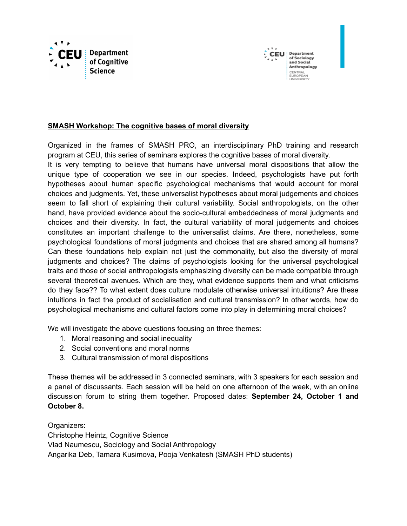



### **SMASH Workshop: The cognitive bases of moral diversity**

Organized in the frames of SMASH PRO, an interdisciplinary PhD training and research program at CEU, this series of seminars explores the cognitive bases of moral diversity.

It is very tempting to believe that humans have universal moral dispositions that allow the unique type of cooperation we see in our species. Indeed, psychologists have put forth hypotheses about human specific psychological mechanisms that would account for moral choices and judgments. Yet, these universalist hypotheses about moral judgements and choices seem to fall short of explaining their cultural variability. Social anthropologists, on the other hand, have provided evidence about the socio-cultural embeddedness of moral judgments and choices and their diversity. In fact, the cultural variability of moral judgements and choices constitutes an important challenge to the universalist claims. Are there, nonetheless, some psychological foundations of moral judgments and choices that are shared among all humans? Can these foundations help explain not just the commonality, but also the diversity of moral judgments and choices? The claims of psychologists looking for the universal psychological traits and those of social anthropologists emphasizing diversity can be made compatible through several theoretical avenues. Which are they, what evidence supports them and what criticisms do they face?? To what extent does culture modulate otherwise universal intuitions? Are these intuitions in fact the product of socialisation and cultural transmission? In other words, how do psychological mechanisms and cultural factors come into play in determining moral choices?

We will investigate the above questions focusing on three themes:

- 1. Moral reasoning and social inequality
- 2. Social conventions and moral norms
- 3. Cultural transmission of moral dispositions

These themes will be addressed in 3 connected seminars, with 3 speakers for each session and a panel of discussants. Each session will be held on one afternoon of the week, with an online discussion forum to string them together. Proposed dates: **September 24, October 1 and October 8.**

Organizers: Christophe Heintz, Cognitive Science Vlad Naumescu, Sociology and Social Anthropology Angarika Deb, Tamara Kusimova, Pooja Venkatesh (SMASH PhD students)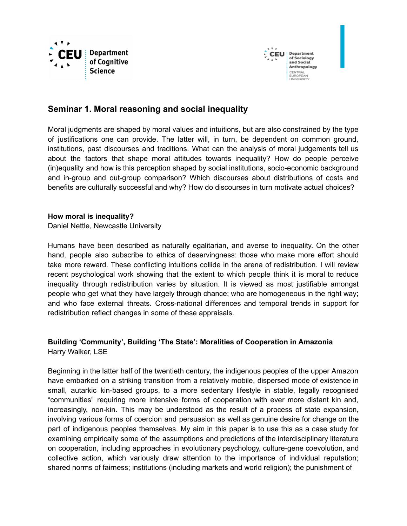



# **Seminar 1. Moral reasoning and social inequality**

Moral judgments are shaped by moral values and intuitions, but are also constrained by the type of justifications one can provide. The latter will, in turn, be dependent on common ground, institutions, past discourses and traditions. What can the analysis of moral judgements tell us about the factors that shape moral attitudes towards inequality? How do people perceive (in)equality and how is this perception shaped by social institutions, socio-economic background and in-group and out-group comparison? Which discourses about distributions of costs and benefits are culturally successful and why? How do discourses in turn motivate actual choices?

#### **How moral is inequality?**

Daniel Nettle, Newcastle University

Humans have been described as naturally egalitarian, and averse to inequality. On the other hand, people also subscribe to ethics of deservingness: those who make more effort should take more reward. These conflicting intuitions collide in the arena of redistribution. I will review recent psychological work showing that the extent to which people think it is moral to reduce inequality through redistribution varies by situation. It is viewed as most justifiable amongst people who get what they have largely through chance; who are homogeneous in the right way; and who face external threats. Cross-national differences and temporal trends in support for redistribution reflect changes in some of these appraisals.

# **Building 'Community', Building 'The State': Moralities of Cooperation in Amazonia** Harry Walker, LSE

Beginning in the latter half of the twentieth century, the indigenous peoples of the upper Amazon have embarked on a striking transition from a relatively mobile, dispersed mode of existence in small, autarkic kin-based groups, to a more sedentary lifestyle in stable, legally recognised "communities" requiring more intensive forms of cooperation with ever more distant kin and, increasingly, non-kin. This may be understood as the result of a process of state expansion, involving various forms of coercion and persuasion as well as genuine desire for change on the part of indigenous peoples themselves. My aim in this paper is to use this as a case study for examining empirically some of the assumptions and predictions of the interdisciplinary literature on cooperation, including approaches in evolutionary psychology, culture-gene coevolution, and collective action, which variously draw attention to the importance of individual reputation; shared norms of fairness; institutions (including markets and world religion); the punishment of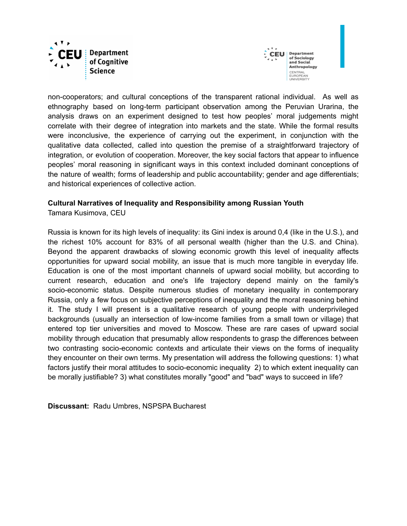



non-cooperators; and cultural conceptions of the transparent rational individual. As well as ethnography based on long-term participant observation among the Peruvian Urarina, the analysis draws on an experiment designed to test how peoples' moral judgements might correlate with their degree of integration into markets and the state. While the formal results were inconclusive, the experience of carrying out the experiment, in conjunction with the qualitative data collected, called into question the premise of a straightforward trajectory of integration, or evolution of cooperation. Moreover, the key social factors that appear to influence peoples' moral reasoning in significant ways in this context included dominant conceptions of the nature of wealth; forms of leadership and public accountability; gender and age differentials; and historical experiences of collective action.

### **Cultural Narratives of Inequality and Responsibility among Russian Youth**

Tamara Kusimova, CEU

Russia is known for its high levels of inequality: its Gini index is around 0,4 (like in the U.S.), and the richest 10% account for 83% of all personal wealth (higher than the U.S. and China). Beyond the apparent drawbacks of slowing economic growth this level of inequality affects opportunities for upward social mobility, an issue that is much more tangible in everyday life. Education is one of the most important channels of upward social mobility, but according to current research, education and one's life trajectory depend mainly on the family's socio-economic status. Despite numerous studies of monetary inequality in contemporary Russia, only a few focus on subjective perceptions of inequality and the moral reasoning behind it. The study I will present is a qualitative research of young people with underprivileged backgrounds (usually an intersection of low-income families from a small town or village) that entered top tier universities and moved to Moscow. These are rare cases of upward social mobility through education that presumably allow respondents to grasp the differences between two contrasting socio-economic contexts and articulate their views on the forms of inequality they encounter on their own terms. My presentation will address the following questions: 1) what factors justify their moral attitudes to socio-economic inequality 2) to which extent inequality can be morally justifiable? 3) what constitutes morally "good" and "bad" ways to succeed in life?

**Discussant:** Radu Umbres, NSPSPA Bucharest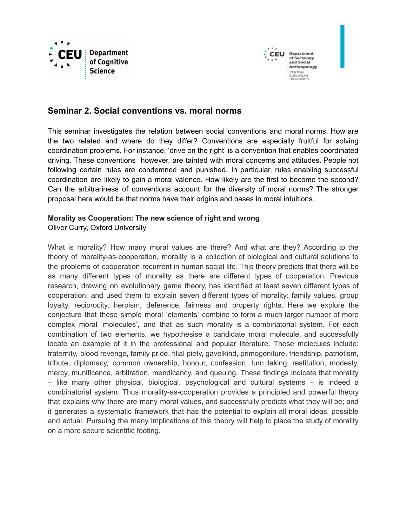



# **Seminar 2. Social conventions vs. moral norms**

This seminar investigates the relation between social conventions and moral norms. How are the two related and where do they differ? Conventions are especially fruitful for solving coordination problems. For instance, 'drive on the right' is a convention that enables coordinated driving. These conventions however, are tainted with moral concerns and attitudes. People not following certain rules are condemned and punished. In particular, rules enabling successful coordination are likely to gain a moral valence. How likely are the first to become the second? Can the arbitrariness of conventions account for the diversity of moral norms? The stronger proposal here would be that norms have their origins and bases in moral intuitions.

# **Morality as Cooperation: The new science of right and wrong**

### Oliver Curry, Oxford University

What is morality? How many moral values are there? And what are they? According to the theory of morality-as-cooperation, morality is a collection of biological and cultural solutions to the problems of cooperation recurrent in human social life. This theory predicts that there will be as many different types of morality as there are different types of cooperation. Previous research, drawing on evolutionary game theory, has identified at least seven different types of cooperation, and used them to explain seven different types of morality: family values, group loyalty, reciprocity, heroism, deference, fairness and property rights. Here we explore the conjecture that these simple moral 'elements' combine to form a much larger number of more complex moral 'molecules', and that as such morality is a combinatorial system. For each combination of two elements, we hypothesise a candidate moral molecule, and successfully locate an example of it in the professional and popular literature. These molecules include: fraternity, blood revenge, family pride, filial piety, gavelkind, primogeniture, friendship, patriotism, tribute, diplomacy, common ownership, honour, confession, turn taking, restitution, modesty, mercy, munificence, arbitration, mendicancy, and queuing. These findings indicate that morality – like many other physical, biological, psychological and cultural systems – is indeed a combinatorial system. Thus morality-as-cooperation provides a principled and powerful theory that explains why there are many moral values, and successfully predicts what they will be; and it generates a systematic framework that has the potential to explain all moral ideas, possible and actual. Pursuing the many implications of this theory will help to place the study of morality on a more secure scientific footing.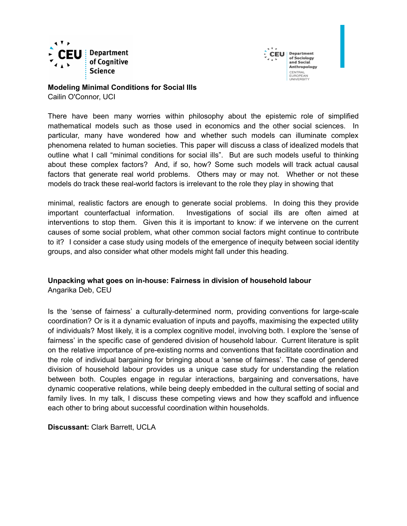



# **Modeling Minimal Conditions for Social Ills**

Cailin O'Connor, UCI

There have been many worries within philosophy about the epistemic role of simplified mathematical models such as those used in economics and the other social sciences. In particular, many have wondered how and whether such models can illuminate complex phenomena related to human societies. This paper will discuss a class of idealized models that outline what I call "minimal conditions for social ills". But are such models useful to thinking about these complex factors? And, if so, how? Some such models will track actual causal factors that generate real world problems. Others may or may not. Whether or not these models do track these real-world factors is irrelevant to the role they play in showing that

minimal, realistic factors are enough to generate social problems. In doing this they provide important counterfactual information. Investigations of social ills are often aimed at interventions to stop them. Given this it is important to know: if we intervene on the current causes of some social problem, what other common social factors might continue to contribute to it? I consider a case study using models of the emergence of inequity between social identity groups, and also consider what other models might fall under this heading.

### **Unpacking what goes on in-house: Fairness in division of household labour** Angarika Deb, CEU

Is the 'sense of fairness' a culturally-determined norm, providing conventions for large-scale coordination? Or is it a dynamic evaluation of inputs and payoffs, maximising the expected utility of individuals? Most likely, it is a complex cognitive model, involving both. I explore the 'sense of fairness' in the specific case of gendered division of household labour. Current literature is split on the relative importance of pre-existing norms and conventions that facilitate coordination and the role of individual bargaining for bringing about a 'sense of fairness'. The case of gendered division of household labour provides us a unique case study for understanding the relation between both. Couples engage in regular interactions, bargaining and conversations, have dynamic cooperative relations, while being deeply embedded in the cultural setting of social and family lives. In my talk, I discuss these competing views and how they scaffold and influence each other to bring about successful coordination within households.

### **Discussant:** Clark Barrett, UCLA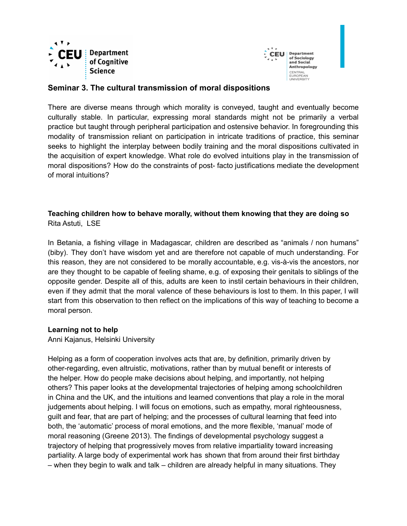



### **Seminar 3. The cultural transmission of moral dispositions**

There are diverse means through which morality is conveyed, taught and eventually become culturally stable. In particular, expressing moral standards might not be primarily a verbal practice but taught through peripheral participation and ostensive behavior. In foregrounding this modality of transmission reliant on participation in intricate traditions of practice, this seminar seeks to highlight the interplay between bodily training and the moral dispositions cultivated in the acquisition of expert knowledge. What role do evolved intuitions play in the transmission of moral dispositions? How do the constraints of post- facto justifications mediate the development of moral intuitions?

# **Teaching children how to behave morally, without them knowing that they are doing so** Rita Astuti, LSE

In Betania, a fishing village in Madagascar, children are described as "animals / non humans" (biby). They don't have wisdom yet and are therefore not capable of much understanding. For this reason, they are not considered to be morally accountable, e.g. vis-à-vis the ancestors, nor are they thought to be capable of feeling shame, e.g. of exposing their genitals to siblings of the opposite gender. Despite all of this, adults are keen to instil certain behaviours in their children, even if they admit that the moral valence of these behaviours is lost to them. In this paper, I will start from this observation to then reflect on the implications of this way of teaching to become a moral person.

### **Learning not to help**

Anni Kajanus, Helsinki University

Helping as a form of cooperation involves acts that are, by definition, primarily driven by other-regarding, even altruistic, motivations, rather than by mutual benefit or interests of the helper. How do people make decisions about helping, and importantly, not helping others? This paper looks at the developmental trajectories of helping among schoolchildren in China and the UK, and the intuitions and learned conventions that play a role in the moral judgements about helping. I will focus on emotions, such as empathy, moral righteousness, guilt and fear, that are part of helping; and the processes of cultural learning that feed into both, the 'automatic' process of moral emotions, and the more flexible, 'manual' mode of moral reasoning (Greene 2013). The findings of developmental psychology suggest a trajectory of helping that progressively moves from relative impartiality toward increasing partiality. A large body of experimental work has shown that from around their first birthday – when they begin to walk and talk – children are already helpful in many situations. They